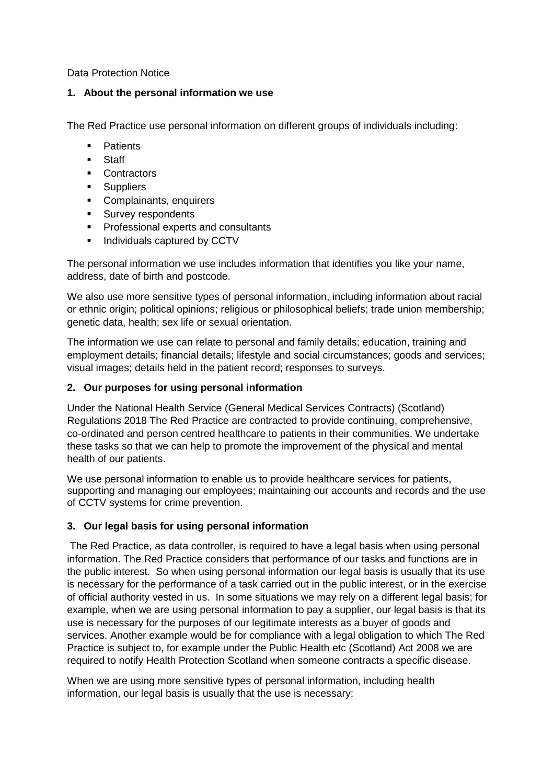Data Protection Notice

#### **1. About the personal information we use**

The Red Practice use personal information on different groups of individuals including:

- **•** Patients
- **Staff**
- **Contractors**
- **Suppliers**
- Complainants, enquirers
- **Survey respondents**
- **Professional experts and consultants**
- Individuals captured by CCTV

The personal information we use includes information that identifies you like your name, address, date of birth and postcode.

We also use more sensitive types of personal information, including information about racial or ethnic origin; political opinions; religious or philosophical beliefs; trade union membership; genetic data, health; sex life or sexual orientation.

The information we use can relate to personal and family details; education, training and employment details; financial details; lifestyle and social circumstances; goods and services; visual images; details held in the patient record; responses to surveys.

## **2. Our purposes for using personal information**

Under the National Health Service (General Medical Services Contracts) (Scotland) Regulations 2018 The Red Practice are contracted to provide continuing, comprehensive, co-ordinated and person centred healthcare to patients in their communities. We undertake these tasks so that we can help to promote the improvement of the physical and mental health of our patients.

We use personal information to enable us to provide healthcare services for patients, supporting and managing our employees; maintaining our accounts and records and the use of CCTV systems for crime prevention.

## **3. Our legal basis for using personal information**

 The Red Practice, as data controller, is required to have a legal basis when using personal information. The Red Practice considers that performance of our tasks and functions are in the public interest. So when using personal information our legal basis is usually that its use is necessary for the performance of a task carried out in the public interest, or in the exercise of official authority vested in us. In some situations we may rely on a different legal basis; for example, when we are using personal information to pay a supplier, our legal basis is that its use is necessary for the purposes of our legitimate interests as a buyer of goods and services. Another example would be for compliance with a legal obligation to which The Red Practice is subject to, for example under the Public Health etc (Scotland) Act 2008 we are required to notify Health Protection Scotland when someone contracts a specific disease.

When we are using more sensitive types of personal information, including health information, our legal basis is usually that the use is necessary: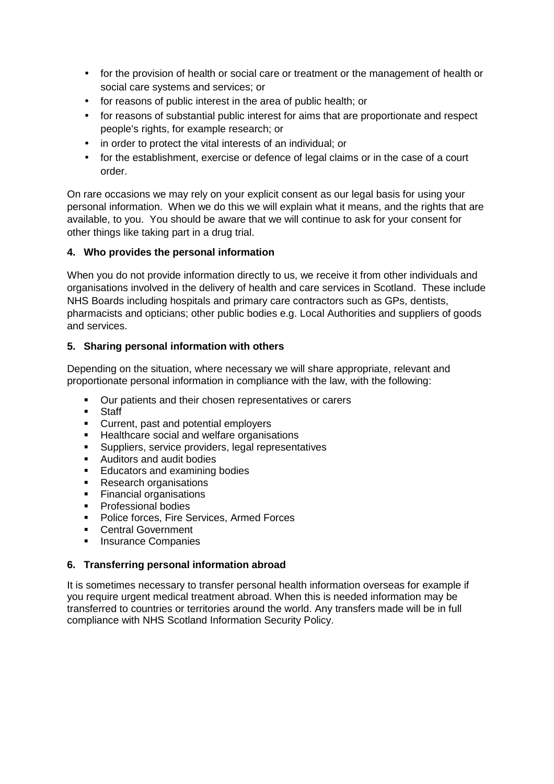- for the provision of health or social care or treatment or the management of health or social care systems and services; or
- for reasons of public interest in the area of public health; or
- for reasons of substantial public interest for aims that are proportionate and respect people's rights, for example research; or
- in order to protect the vital interests of an individual; or
- for the establishment, exercise or defence of legal claims or in the case of a court order.

On rare occasions we may rely on your explicit consent as our legal basis for using your personal information. When we do this we will explain what it means, and the rights that are available, to you. You should be aware that we will continue to ask for your consent for other things like taking part in a drug trial.

# **4. Who provides the personal information**

When you do not provide information directly to us, we receive it from other individuals and organisations involved in the delivery of health and care services in Scotland. These include NHS Boards including hospitals and primary care contractors such as GPs, dentists, pharmacists and opticians; other public bodies e.g. Local Authorities and suppliers of goods and services.

## **5. Sharing personal information with others**

Depending on the situation, where necessary we will share appropriate, relevant and proportionate personal information in compliance with the law, with the following:

- Our patients and their chosen representatives or carers
- **Staff**
- **Current, past and potential employers**
- **Healthcare social and welfare organisations**
- Suppliers, service providers, legal representatives
- Auditors and audit bodies
- **Educators and examining bodies**
- Research organisations
- Financial organisations
- **Professional bodies**
- **Police forces, Fire Services, Armed Forces**
- **Central Government**
- **Insurance Companies**

## **6. Transferring personal information abroad**

It is sometimes necessary to transfer personal health information overseas for example if you require urgent medical treatment abroad. When this is needed information may be transferred to countries or territories around the world. Any transfers made will be in full compliance with NHS Scotland Information Security Policy.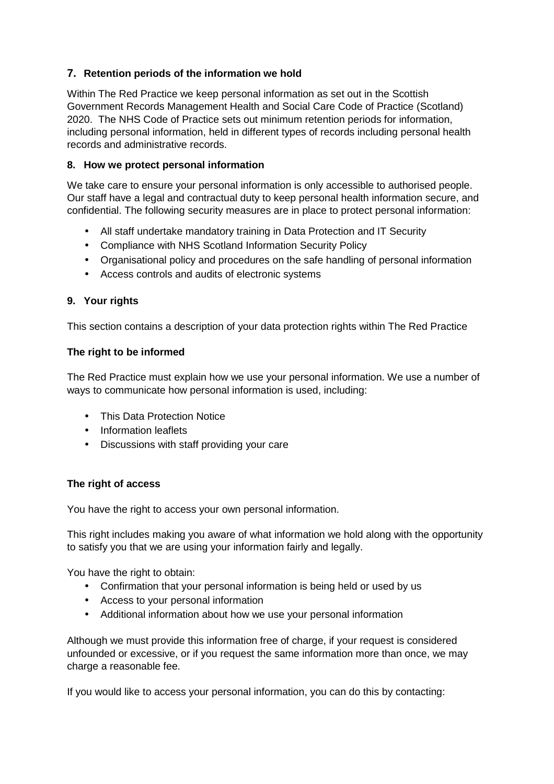# **7. Retention periods of the information we hold**

Within The Red Practice we keep personal information as set out in the Scottish Government Records Management Health and Social Care Code of Practice (Scotland) 2020. The NHS Code of Practice sets out minimum retention periods for information, including personal information, held in different types of records including personal health records and administrative records.

#### **8. How we protect personal information**

We take care to ensure your personal information is only accessible to authorised people. Our staff have a legal and contractual duty to keep personal health information secure, and confidential. The following security measures are in place to protect personal information:

- All staff undertake mandatory training in Data Protection and IT Security
- Compliance with NHS Scotland Information Security Policy
- Organisational policy and procedures on the safe handling of personal information
- Access controls and audits of electronic systems

## **9. Your rights**

This section contains a description of your data protection rights within The Red Practice

## **The right to be informed**

The Red Practice must explain how we use your personal information. We use a number of ways to communicate how personal information is used, including:

- This Data Protection Notice
- Information leaflets
- Discussions with staff providing your care

## **The right of access**

You have the right to access your own personal information.

This right includes making you aware of what information we hold along with the opportunity to satisfy you that we are using your information fairly and legally.

You have the right to obtain:

- Confirmation that your personal information is being held or used by us
- Access to your personal information
- Additional information about how we use your personal information

Although we must provide this information free of charge, if your request is considered unfounded or excessive, or if you request the same information more than once, we may charge a reasonable fee.

If you would like to access your personal information, you can do this by contacting: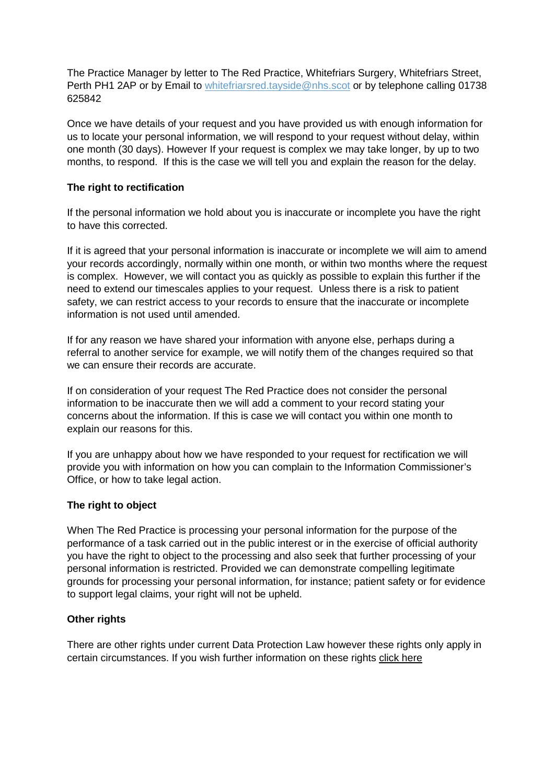The Practice Manager by letter to The Red Practice, Whitefriars Surgery, Whitefriars Street, Perth PH1 2AP or by Email to whitefriarsred.tayside@nhs.scot or by telephone calling 01738 625842

Once we have details of your request and you have provided us with enough information for us to locate your personal information, we will respond to your request without delay, within one month (30 days). However If your request is complex we may take longer, by up to two months, to respond. If this is the case we will tell you and explain the reason for the delay.

#### **The right to rectification**

If the personal information we hold about you is inaccurate or incomplete you have the right to have this corrected.

If it is agreed that your personal information is inaccurate or incomplete we will aim to amend your records accordingly, normally within one month, or within two months where the request is complex. However, we will contact you as quickly as possible to explain this further if the need to extend our timescales applies to your request. Unless there is a risk to patient safety, we can restrict access to your records to ensure that the inaccurate or incomplete information is not used until amended.

If for any reason we have shared your information with anyone else, perhaps during a referral to another service for example, we will notify them of the changes required so that we can ensure their records are accurate.

If on consideration of your request The Red Practice does not consider the personal information to be inaccurate then we will add a comment to your record stating your concerns about the information. If this is case we will contact you within one month to explain our reasons for this.

If you are unhappy about how we have responded to your request for rectification we will provide you with information on how you can complain to the Information Commissioner's Office, or how to take legal action.

#### **The right to object**

When The Red Practice is processing your personal information for the purpose of the performance of a task carried out in the public interest or in the exercise of official authority you have the right to object to the processing and also seek that further processing of your personal information is restricted. Provided we can demonstrate compelling legitimate grounds for processing your personal information, for instance; patient safety or for evidence to support legal claims, your right will not be upheld.

#### **Other rights**

There are other rights under current Data Protection Law however these rights only apply in certain circumstances. If you wish further information on these rights click here